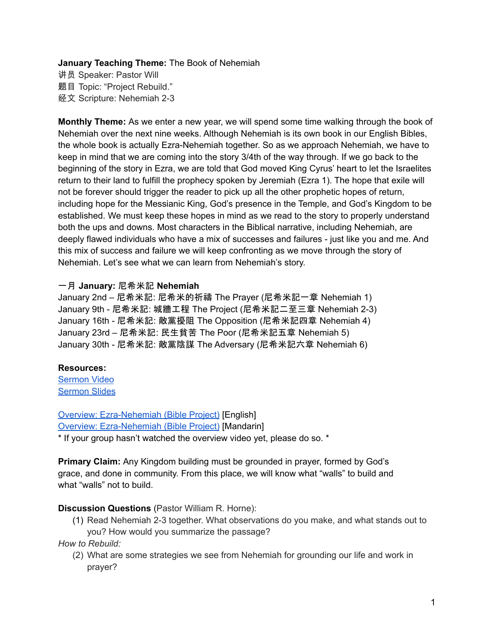## **January Teaching Theme:** The Book of Nehemiah

讲员 Speaker: Pastor Will 题目 Topic: "Project Rebuild." 经文 Scripture: Nehemiah 2-3

**Monthly Theme:** As we enter a new year, we will spend some time walking through the book of Nehemiah over the next nine weeks. Although Nehemiah is its own book in our English Bibles, the whole book is actually Ezra-Nehemiah together. So as we approach Nehemiah, we have to keep in mind that we are coming into the story 3/4th of the way through. If we go back to the beginning of the story in Ezra, we are told that God moved King Cyrus' heart to let the Israelites return to their land to fulfill the prophecy spoken by Jeremiah (Ezra 1). The hope that exile will not be forever should trigger the reader to pick up all the other prophetic hopes of return, including hope for the Messianic King, God's presence in the Temple, and God's Kingdom to be established. We must keep these hopes in mind as we read to the story to properly understand both the ups and downs. Most characters in the Biblical narrative, including Nehemiah, are deeply flawed individuals who have a mix of successes and failures - just like you and me. And this mix of success and failure we will keep confronting as we move through the story of Nehemiah. Let's see what we can learn from Nehemiah's story.

## 一月 **January:** 尼希米記 **Nehemiah**

January 2nd – 尼希米記: 尼希米的祈禱 The Prayer (尼希米記一章 Nehemiah 1) January 9th - 尼希米記: 城牆工程 The Project (尼希米記二至三章 Nehemiah 2-3) January 16th - 尼希米記: 敵黨擾阻 The Opposition (尼希米記四章 Nehemiah 4) January 23rd – 尼希米記: 民生貧苦 The Poor (尼希米記五章 Nehemiah 5) January 30th - 尼希米記: 敵黨陰謀 The Adversary (尼希米記六章 Nehemiah 6)

# **Resources:**

[Sermon](https://www.youtube.com/watch?v=QQlsgrxRTTs) Video [Sermon](https://docs.google.com/presentation/d/10kwzZpCVFd-APoVBw__TSTAloyX_trpLuxBQq9sZxdY/edit?usp=sharing) Slides

Overview: [Ezra-Nehemiah](https://bibleproject.com/explore/video/ezra-nehemiah/) (Bible Project) [English] Overview: [Ezra-Nehemiah](https://www.youtube.com/watch?v=S4pg2h8DOM4&list=PLE-R0uydm0uN0xKD3tw0aheiQojlf1JB1&index=37) (Bible Project) [Mandarin]

\* If your group hasn't watched the overview video yet, please do so. \*

**Primary Claim:** Any Kingdom building must be grounded in prayer, formed by God's grace, and done in community. From this place, we will know what "walls" to build and what "walls" not to build.

# **Discussion Questions** (Pastor William R. Horne):

(1) Read Nehemiah 2-3 together. What observations do you make, and what stands out to you? How would you summarize the passage?

*How to Rebuild:*

(2) What are some strategies we see from Nehemiah for grounding our life and work in prayer?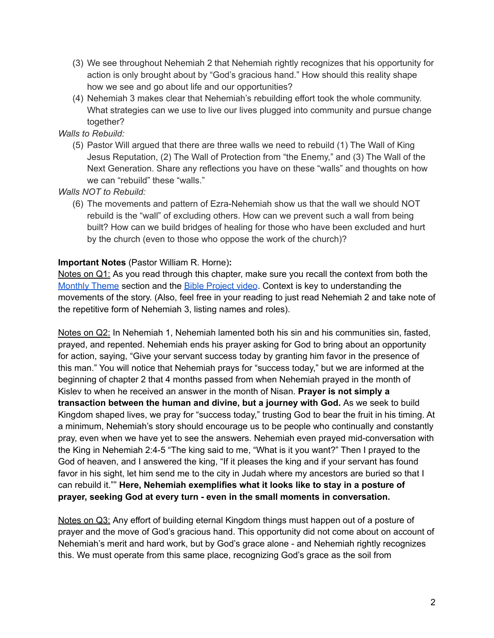- (3) We see throughout Nehemiah 2 that Nehemiah rightly recognizes that his opportunity for action is only brought about by "God's gracious hand." How should this reality shape how we see and go about life and our opportunities?
- (4) Nehemiah 3 makes clear that Nehemiah's rebuilding effort took the whole community. What strategies can we use to live our lives plugged into community and pursue change together?

*Walls to Rebuild:*

(5) Pastor Will argued that there are three walls we need to rebuild (1) The Wall of King Jesus Reputation, (2) The Wall of Protection from "the Enemy," and (3) The Wall of the Next Generation. Share any reflections you have on these "walls" and thoughts on how we can "rebuild" these "walls."

*Walls NOT to Rebuild:*

(6) The movements and pattern of Ezra-Nehemiah show us that the wall we should NOT rebuild is the "wall" of excluding others. How can we prevent such a wall from being built? How can we build bridges of healing for those who have been excluded and hurt by the church (even to those who oppose the work of the church)?

# **Important Notes** (Pastor William R. Horne)**:**

Notes on Q1: As you read through this chapter, make sure you recall the context from both the [Monthly](https://docs.google.com/document/d/1kdIsb1XcIs7gpJh6mmgzNf6Jnqwm4iO9jFQe6U3OtNY/edit#bookmark=id.ldbe2mqdl12r) Theme section and the **Bible [Project](https://docs.google.com/document/d/1kdIsb1XcIs7gpJh6mmgzNf6Jnqwm4iO9jFQe6U3OtNY/edit#bookmark=id.d2puhpmovfox) video**. Context is key to understanding the movements of the story. (Also, feel free in your reading to just read Nehemiah 2 and take note of the repetitive form of Nehemiah 3, listing names and roles).

Notes on Q2: In Nehemiah 1, Nehemiah lamented both his sin and his communities sin, fasted, prayed, and repented. Nehemiah ends his prayer asking for God to bring about an opportunity for action, saying, "Give your servant success today by granting him favor in the presence of this man." You will notice that Nehemiah prays for "success today," but we are informed at the beginning of chapter 2 that 4 months passed from when Nehemiah prayed in the month of Kislev to when he received an answer in the month of Nisan. **Prayer is not simply a transaction between the human and divine, but a journey with God.** As we seek to build Kingdom shaped lives, we pray for "success today," trusting God to bear the fruit in his timing. At a minimum, Nehemiah's story should encourage us to be people who continually and constantly pray, even when we have yet to see the answers. Nehemiah even prayed mid-conversation with the King in Nehemiah 2:4-5 "The king said to me, "What is it you want?" Then I prayed to the God of heaven, and I answered the king, "If it pleases the king and if your servant has found favor in his sight, let him send me to the city in Judah where my ancestors are buried so that I can rebuild it."" **Here, Nehemiah exemplifies what it looks like to stay in a posture of prayer, seeking God at every turn - even in the small moments in conversation.**

Notes on Q3: Any effort of building eternal Kingdom things must happen out of a posture of prayer and the move of God's gracious hand. This opportunity did not come about on account of Nehemiah's merit and hard work, but by God's grace alone - and Nehemiah rightly recognizes this. We must operate from this same place, recognizing God's grace as the soil from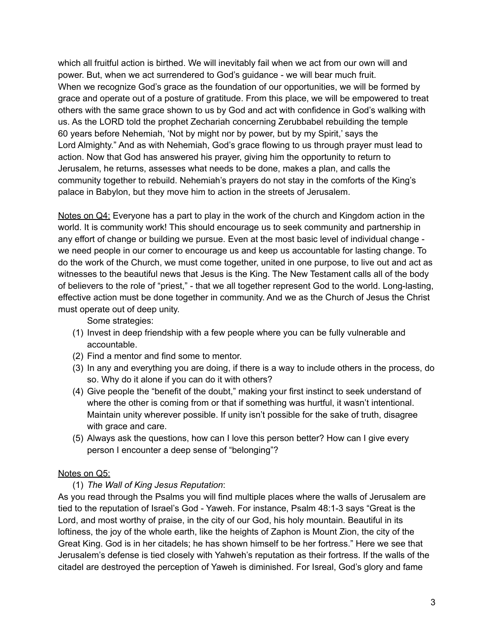which all fruitful action is birthed. We will inevitably fail when we act from our own will and power. But, when we act surrendered to God's guidance - we will bear much fruit. When we recognize God's grace as the foundation of our opportunities, we will be formed by grace and operate out of a posture of gratitude. From this place, we will be empowered to treat others with the same grace shown to us by God and act with confidence in God's walking with us. As the LORD told the prophet Zechariah concerning Zerubbabel rebuilding the temple 60 years before Nehemiah, 'Not by might nor by power, but by my Spirit,' says the Lord Almighty." And as with Nehemiah, God's grace flowing to us through prayer must lead to action. Now that God has answered his prayer, giving him the opportunity to return to Jerusalem, he returns, assesses what needs to be done, makes a plan, and calls the community together to rebuild. Nehemiah's prayers do not stay in the comforts of the King's palace in Babylon, but they move him to action in the streets of Jerusalem.

Notes on Q4: Everyone has a part to play in the work of the church and Kingdom action in the world. It is community work! This should encourage us to seek community and partnership in any effort of change or building we pursue. Even at the most basic level of individual change we need people in our corner to encourage us and keep us accountable for lasting change. To do the work of the Church, we must come together, united in one purpose, to live out and act as witnesses to the beautiful news that Jesus is the King. The New Testament calls all of the body of believers to the role of "priest," - that we all together represent God to the world. Long-lasting, effective action must be done together in community. And we as the Church of Jesus the Christ must operate out of deep unity.

Some strategies:

- (1) Invest in deep friendship with a few people where you can be fully vulnerable and accountable.
- (2) Find a mentor and find some to mentor.
- (3) In any and everything you are doing, if there is a way to include others in the process, do so. Why do it alone if you can do it with others?
- (4) Give people the "benefit of the doubt," making your first instinct to seek understand of where the other is coming from or that if something was hurtful, it wasn't intentional. Maintain unity wherever possible. If unity isn't possible for the sake of truth, disagree with grace and care.
- (5) Always ask the questions, how can I love this person better? How can I give every person I encounter a deep sense of "belonging"?

### Notes on Q5:

# (1) *The Wall of King Jesus Reputation*:

As you read through the Psalms you will find multiple places where the walls of Jerusalem are tied to the reputation of Israel's God - Yaweh. For instance, Psalm 48:1-3 says "Great is the Lord, and most worthy of praise, in the city of our God, his holy mountain. Beautiful in its loftiness, the joy of the whole earth, like the heights of Zaphon is Mount Zion, the city of the Great King. God is in her citadels; he has shown himself to be her fortress." Here we see that Jerusalem's defense is tied closely with Yahweh's reputation as their fortress. If the walls of the citadel are destroyed the perception of Yaweh is diminished. For Isreal, God's glory and fame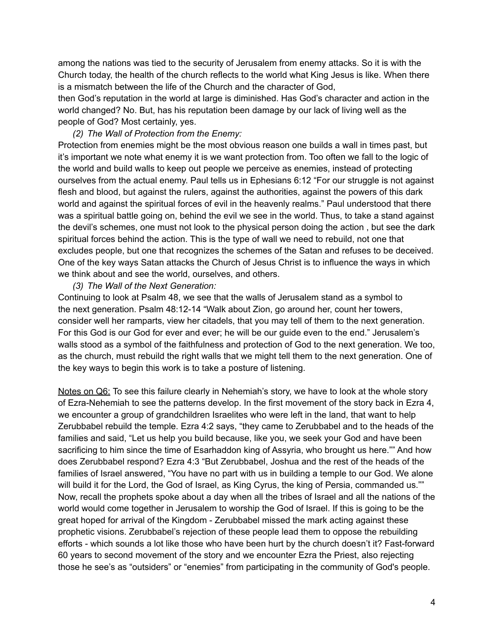among the nations was tied to the security of Jerusalem from enemy attacks. So it is with the Church today, the health of the church reflects to the world what King Jesus is like. When there is a mismatch between the life of the Church and the character of God,

then God's reputation in the world at large is diminished. Has God's character and action in the world changed? No. But, has his reputation been damage by our lack of living well as the people of God? Most certainly, yes.

### *(2) The Wall of Protection from the Enemy:*

Protection from enemies might be the most obvious reason one builds a wall in times past, but it's important we note what enemy it is we want protection from. Too often we fall to the logic of the world and build walls to keep out people we perceive as enemies, instead of protecting ourselves from the actual enemy. Paul tells us in Ephesians 6:12 "For our struggle is not against flesh and blood, but against the rulers, against the authorities, against the powers of this dark world and against the spiritual forces of evil in the heavenly realms." Paul understood that there was a spiritual battle going on, behind the evil we see in the world. Thus, to take a stand against the devil's schemes, one must not look to the physical person doing the action , but see the dark spiritual forces behind the action. This is the type of wall we need to rebuild, not one that excludes people, but one that recognizes the schemes of the Satan and refuses to be deceived. One of the key ways Satan attacks the Church of Jesus Christ is to influence the ways in which we think about and see the world, ourselves, and others.

#### *(3) The Wall of the Next Generation:*

Continuing to look at Psalm 48, we see that the walls of Jerusalem stand as a symbol to the next generation. Psalm 48:12-14 "Walk about Zion, go around her, count her towers, consider well her ramparts, view her citadels, that you may tell of them to the next generation. For this God is our God for ever and ever; he will be our guide even to the end." Jerusalem's walls stood as a symbol of the faithfulness and protection of God to the next generation. We too, as the church, must rebuild the right walls that we might tell them to the next generation. One of the key ways to begin this work is to take a posture of listening.

Notes on Q6: To see this failure clearly in Nehemiah's story, we have to look at the whole story of Ezra-Nehemiah to see the patterns develop. In the first movement of the story back in Ezra 4, we encounter a group of grandchildren Israelites who were left in the land, that want to help Zerubbabel rebuild the temple. Ezra 4:2 says, "they came to Zerubbabel and to the heads of the families and said, "Let us help you build because, like you, we seek your God and have been sacrificing to him since the time of Esarhaddon king of Assyria, who brought us here."" And how does Zerubbabel respond? Ezra 4:3 "But Zerubbabel, Joshua and the rest of the heads of the families of Israel answered, "You have no part with us in building a temple to our God. We alone will build it for the Lord, the God of Israel, as King Cyrus, the king of Persia, commanded us."" Now, recall the prophets spoke about a day when all the tribes of Israel and all the nations of the world would come together in Jerusalem to worship the God of Israel. If this is going to be the great hoped for arrival of the Kingdom - Zerubbabel missed the mark acting against these prophetic visions. Zerubbabel's rejection of these people lead them to oppose the rebuilding efforts - which sounds a lot like those who have been hurt by the church doesn't it? Fast-forward 60 years to second movement of the story and we encounter Ezra the Priest, also rejecting those he see's as "outsiders" or "enemies" from participating in the community of God's people.